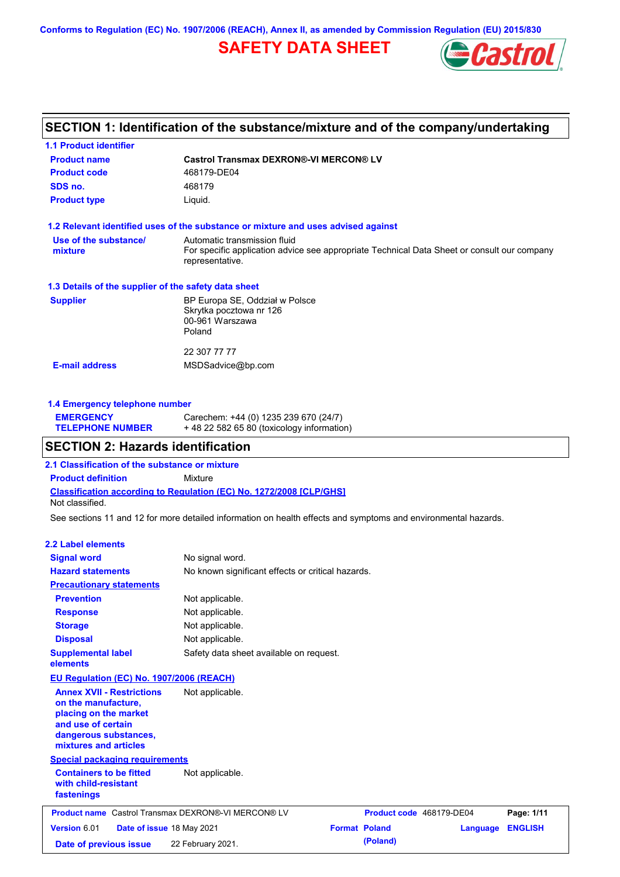**Conforms to Regulation (EC) No. 1907/2006 (REACH), Annex II, as amended by Commission Regulation (EU) 2015/830**

# **SAFETY DATA SHEET**



# **SECTION 1: Identification of the substance/mixture and of the company/undertaking**

| <b>1.1 Product identifier</b>                        |                                                                                                                                                |  |  |  |
|------------------------------------------------------|------------------------------------------------------------------------------------------------------------------------------------------------|--|--|--|
| <b>Product name</b>                                  | <b>Castrol Transmax DEXRON®-VI MERCON® LV</b>                                                                                                  |  |  |  |
| <b>Product code</b>                                  | 468179-DE04                                                                                                                                    |  |  |  |
| SDS no.                                              | 468179                                                                                                                                         |  |  |  |
| <b>Product type</b>                                  | Liquid.                                                                                                                                        |  |  |  |
|                                                      | 1.2 Relevant identified uses of the substance or mixture and uses advised against                                                              |  |  |  |
| Use of the substance/<br>mixture                     | Automatic transmission fluid<br>For specific application advice see appropriate Technical Data Sheet or consult our company<br>representative. |  |  |  |
| 1.3 Details of the supplier of the safety data sheet |                                                                                                                                                |  |  |  |
| <b>Supplier</b>                                      | BP Europa SE, Oddział w Polsce<br>Skrytka pocztowa nr 126<br>00-961 Warszawa<br>Poland                                                         |  |  |  |
|                                                      | 22 307 77 77                                                                                                                                   |  |  |  |
| <b>E-mail address</b>                                | MSDSadvice@bp.com                                                                                                                              |  |  |  |
|                                                      |                                                                                                                                                |  |  |  |

### **1.4 Emergency telephone number**

| <b>EMERGENCY</b>        | Carechem: +44 (0) 1235 239 670 (24/7)     |
|-------------------------|-------------------------------------------|
| <b>TELEPHONE NUMBER</b> | +48 22 582 65 80 (toxicology information) |

### **SECTION 2: Hazards identification**

**2.1 Classification of the substance or mixture**

**Classification according to Regulation (EC) No. 1272/2008 [CLP/GHS] Product definition** Mixture Not classified.

See sections 11 and 12 for more detailed information on health effects and symptoms and environmental hazards.

#### **2.2 Label elements**

| <b>Signal word</b><br><b>Hazard statements</b>                                                                                                           | No signal word.<br>No known significant effects or critical hazards. |                      |                          |          |                |
|----------------------------------------------------------------------------------------------------------------------------------------------------------|----------------------------------------------------------------------|----------------------|--------------------------|----------|----------------|
| <b>Precautionary statements</b>                                                                                                                          |                                                                      |                      |                          |          |                |
| <b>Prevention</b>                                                                                                                                        | Not applicable.                                                      |                      |                          |          |                |
| <b>Response</b>                                                                                                                                          | Not applicable.                                                      |                      |                          |          |                |
| <b>Storage</b>                                                                                                                                           | Not applicable.                                                      |                      |                          |          |                |
| <b>Disposal</b>                                                                                                                                          | Not applicable.                                                      |                      |                          |          |                |
| <b>Supplemental label</b><br>elements                                                                                                                    | Safety data sheet available on request.                              |                      |                          |          |                |
| EU Regulation (EC) No. 1907/2006 (REACH)                                                                                                                 |                                                                      |                      |                          |          |                |
| <b>Annex XVII - Restrictions</b><br>on the manufacture,<br>placing on the market<br>and use of certain<br>dangerous substances,<br>mixtures and articles | Not applicable.                                                      |                      |                          |          |                |
| <b>Special packaging requirements</b>                                                                                                                    |                                                                      |                      |                          |          |                |
| <b>Containers to be fitted</b><br>with child-resistant<br>fastenings                                                                                     | Not applicable.                                                      |                      |                          |          |                |
| <b>Product name</b> Castrol Transmax DEXRON®-VI MERCON® LV                                                                                               |                                                                      |                      | Product code 468179-DE04 |          | Page: 1/11     |
| Version 6.01<br>Date of issue 18 May 2021                                                                                                                |                                                                      | <b>Format Poland</b> |                          | Language | <b>ENGLISH</b> |
| Date of previous issue                                                                                                                                   | 22 February 2021.                                                    |                      | (Poland)                 |          |                |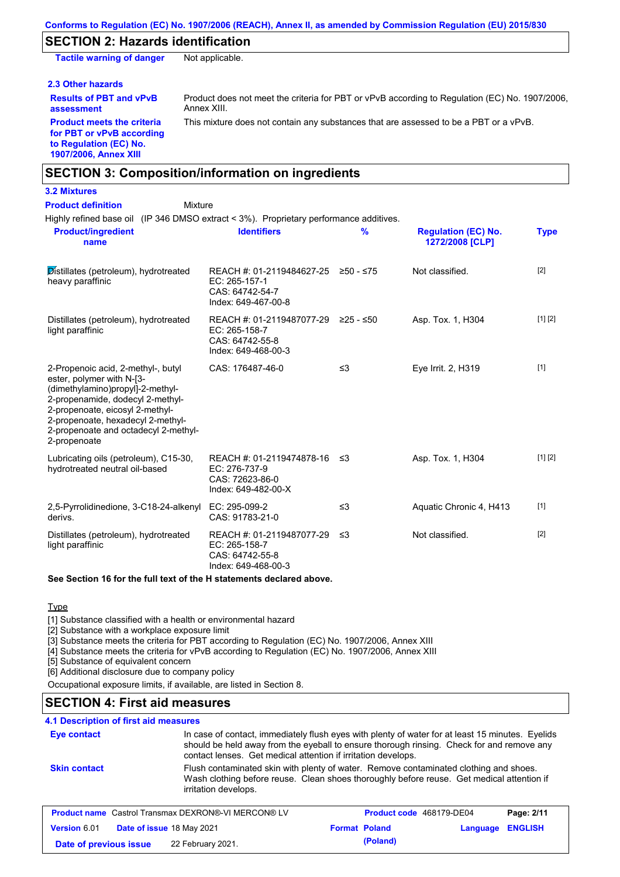## **SECTION 2: Hazards identification**

**Tactile warning of danger** Not applicable.

#### **2.3 Other hazards**

**assessment**

Product does not meet the criteria for PBT or vPvB according to Regulation (EC) No. 1907/2006, Annex XIII.

**Product meets the criteria for PBT or vPvB according to Regulation (EC) No. 1907/2006, Annex XIII**

**Results of PBT and vPvB** 

This mixture does not contain any substances that are assessed to be a PBT or a vPvB.

### **SECTION 3: Composition/information on ingredients**

### **3.2 Mixtures**

| <b>Product definition</b><br>Mixture                                                                                                                                                                                                                                    |                                                                                                |               |                                               |             |
|-------------------------------------------------------------------------------------------------------------------------------------------------------------------------------------------------------------------------------------------------------------------------|------------------------------------------------------------------------------------------------|---------------|-----------------------------------------------|-------------|
| Highly refined base oil (IP 346 DMSO extract < 3%). Proprietary performance additives.<br><b>Product/ingredient</b><br>name                                                                                                                                             | <b>Identifiers</b>                                                                             | $\frac{9}{6}$ | <b>Regulation (EC) No.</b><br>1272/2008 [CLP] | <b>Type</b> |
| Distillates (petroleum), hydrotreated<br>heavy paraffinic                                                                                                                                                                                                               | REACH #: 01-2119484627-25 ≥50 - ≤75<br>EC: 265-157-1<br>CAS: 64742-54-7<br>Index: 649-467-00-8 |               | Not classified.                               | $[2]$       |
| Distillates (petroleum), hydrotreated<br>light paraffinic                                                                                                                                                                                                               | REACH #: 01-2119487077-29<br>EC: 265-158-7<br>CAS: 64742-55-8<br>Index: 649-468-00-3           | $≥25 - ≤50$   | Asp. Tox. 1, H304                             | [1] [2]     |
| 2-Propenoic acid, 2-methyl-, butyl<br>ester, polymer with N-[3-<br>(dimethylamino)propyl]-2-methyl-<br>2-propenamide, dodecyl 2-methyl-<br>2-propenoate, eicosyl 2-methyl-<br>2-propenoate, hexadecyl 2-methyl-<br>2-propenoate and octadecyl 2-methyl-<br>2-propenoate | CAS: 176487-46-0                                                                               | $\leq$ 3      | Eye Irrit. 2, H319                            | $[1]$       |
| Lubricating oils (petroleum), C15-30,<br>hydrotreated neutral oil-based                                                                                                                                                                                                 | REACH #: 01-2119474878-16 ≤3<br>EC: 276-737-9<br>CAS: 72623-86-0<br>Index: 649-482-00-X        |               | Asp. Tox. 1, H304                             | [1] [2]     |
| 2,5-Pyrrolidinedione, 3-C18-24-alkenyl<br>derivs.                                                                                                                                                                                                                       | EC: 295-099-2<br>CAS: 91783-21-0                                                               | $\leq$ 3      | Aquatic Chronic 4, H413                       | $[1]$       |
| Distillates (petroleum), hydrotreated<br>light paraffinic                                                                                                                                                                                                               | REACH #: 01-2119487077-29<br>EC: 265-158-7<br>CAS: 64742-55-8<br>Index: 649-468-00-3           | -≤3           | Not classified.                               | $[2]$       |

#### **See Section 16 for the full text of the H statements declared above.**

### **Type**

[1] Substance classified with a health or environmental hazard

[2] Substance with a workplace exposure limit

[3] Substance meets the criteria for PBT according to Regulation (EC) No. 1907/2006, Annex XIII

[4] Substance meets the criteria for vPvB according to Regulation (EC) No. 1907/2006, Annex XIII

[5] Substance of equivalent concern

[6] Additional disclosure due to company policy

Occupational exposure limits, if available, are listed in Section 8.

# **SECTION 4: First aid measures**

### **4.1 Description of first aid measures**

| Eye contact            | In case of contact, immediately flush eyes with plenty of water for at least 15 minutes. Eyelids<br>should be held away from the eyeball to ensure thorough rinsing. Check for and remove any<br>contact lenses. Get medical attention if irritation develops. |                          |          |                |
|------------------------|----------------------------------------------------------------------------------------------------------------------------------------------------------------------------------------------------------------------------------------------------------------|--------------------------|----------|----------------|
| <b>Skin contact</b>    | Flush contaminated skin with plenty of water. Remove contaminated clothing and shoes.<br>Wash clothing before reuse. Clean shoes thoroughly before reuse. Get medical attention if<br>irritation develops.                                                     |                          |          |                |
|                        | <b>Product name</b> Castrol Transmax DEXRON®-VI MERCON® LV                                                                                                                                                                                                     | Product code 468179-DE04 |          | Page: 2/11     |
| <b>Version 6.01</b>    | Date of issue 18 May 2021                                                                                                                                                                                                                                      | <b>Format Poland</b>     | Language | <b>ENGLISH</b> |
| Date of previous issue | 22 February 2021.                                                                                                                                                                                                                                              | (Poland)                 |          |                |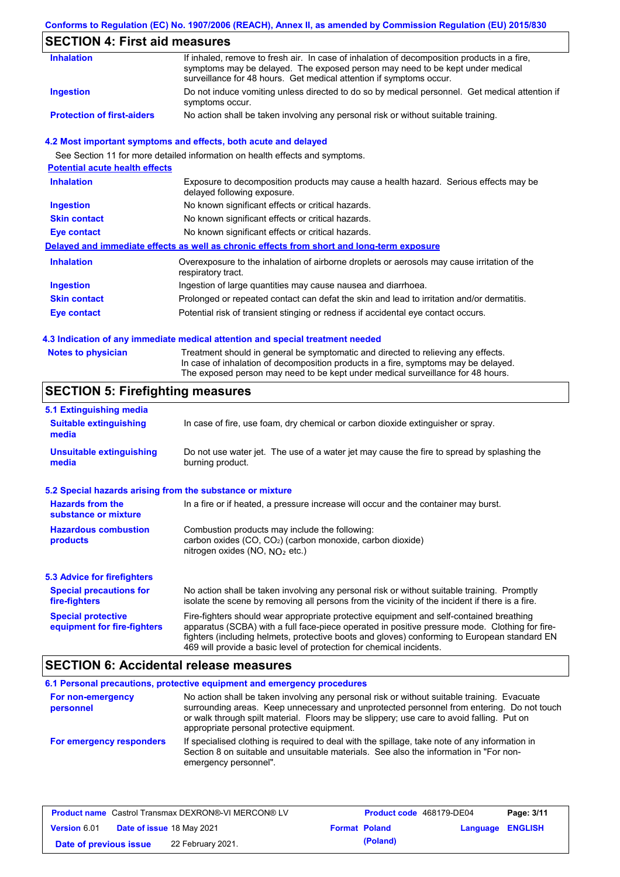#### **Conforms to Regulation (EC) No. 1907/2006 (REACH), Annex II, as amended by Commission Regulation (EU) 2015/830**

## **SECTION 4: First aid measures**

| <b>Inhalation</b>                 | If inhaled, remove to fresh air. In case of inhalation of decomposition products in a fire,<br>symptoms may be delayed. The exposed person may need to be kept under medical<br>surveillance for 48 hours. Get medical attention if symptoms occur. |
|-----------------------------------|-----------------------------------------------------------------------------------------------------------------------------------------------------------------------------------------------------------------------------------------------------|
| <b>Ingestion</b>                  | Do not induce vomiting unless directed to do so by medical personnel. Get medical attention if<br>symptoms occur.                                                                                                                                   |
| <b>Protection of first-aiders</b> | No action shall be taken involving any personal risk or without suitable training.                                                                                                                                                                  |

#### **4.2 Most important symptoms and effects, both acute and delayed**

See Section 11 for more detailed information on health effects and symptoms. **Potential acute health effects Inhalation** Exposure to decomposition products may cause a health hazard. Serious effects may be delayed following exposure. **Ingestion** No known significant effects or critical hazards. **Skin contact** No known significant effects or critical hazards. **Eye contact** No known significant effects or critical hazards. **Delayed and immediate effects as well as chronic effects from short and long-term exposure Inhalation Ingestion Skin contact Eye contact** Overexposure to the inhalation of airborne droplets or aerosols may cause irritation of the respiratory tract. Ingestion of large quantities may cause nausea and diarrhoea. Prolonged or repeated contact can defat the skin and lead to irritation and/or dermatitis. Potential risk of transient stinging or redness if accidental eye contact occurs.

#### **4.3 Indication of any immediate medical attention and special treatment needed**

| <b>Notes to physician</b> | Treatment should in general be symptomatic and directed to relieving any effects.<br>In case of inhalation of decomposition products in a fire, symptoms may be delayed. |
|---------------------------|--------------------------------------------------------------------------------------------------------------------------------------------------------------------------|
|                           | The exposed person may need to be kept under medical surveillance for 48 hours.                                                                                          |

## **SECTION 5: Firefighting measures**

| 5.1 Extinguishing media                                   |                                                                                                                                                                                                                                                                                                                                                                   |
|-----------------------------------------------------------|-------------------------------------------------------------------------------------------------------------------------------------------------------------------------------------------------------------------------------------------------------------------------------------------------------------------------------------------------------------------|
| <b>Suitable extinguishing</b><br>media                    | In case of fire, use foam, dry chemical or carbon dioxide extinguisher or spray.                                                                                                                                                                                                                                                                                  |
| <b>Unsuitable extinguishing</b><br>media                  | Do not use water jet. The use of a water jet may cause the fire to spread by splashing the<br>burning product.                                                                                                                                                                                                                                                    |
| 5.2 Special hazards arising from the substance or mixture |                                                                                                                                                                                                                                                                                                                                                                   |
| <b>Hazards from the</b><br>substance or mixture           | In a fire or if heated, a pressure increase will occur and the container may burst.                                                                                                                                                                                                                                                                               |
| <b>Hazardous combustion</b><br>products                   | Combustion products may include the following:<br>carbon oxides (CO, CO <sub>2</sub> ) (carbon monoxide, carbon dioxide)<br>nitrogen oxides (NO, $NO2$ etc.)                                                                                                                                                                                                      |
| <b>5.3 Advice for firefighters</b>                        |                                                                                                                                                                                                                                                                                                                                                                   |
| <b>Special precautions for</b><br>fire-fighters           | No action shall be taken involving any personal risk or without suitable training. Promptly<br>isolate the scene by removing all persons from the vicinity of the incident if there is a fire.                                                                                                                                                                    |
| <b>Special protective</b><br>equipment for fire-fighters  | Fire-fighters should wear appropriate protective equipment and self-contained breathing<br>apparatus (SCBA) with a full face-piece operated in positive pressure mode. Clothing for fire-<br>fighters (including helmets, protective boots and gloves) conforming to European standard EN<br>469 will provide a basic level of protection for chemical incidents. |

### **SECTION 6: Accidental release measures**

**6.1 Personal precautions, protective equipment and emergency procedures For non-emergency personnel For emergency responders** No action shall be taken involving any personal risk or without suitable training. Evacuate surrounding areas. Keep unnecessary and unprotected personnel from entering. Do not touch or walk through spilt material. Floors may be slippery; use care to avoid falling. Put on appropriate personal protective equipment. If specialised clothing is required to deal with the spillage, take note of any information in Section 8 on suitable and unsuitable materials. See also the information in "For nonemergency personnel".

|                        | <b>Product name</b> Castrol Transmax DEXRON®-VI MERCON® LV | Product code 468179-DE04 |                         | Page: 3/11 |
|------------------------|------------------------------------------------------------|--------------------------|-------------------------|------------|
| <b>Version 6.01</b>    | <b>Date of issue 18 May 2021</b>                           | <b>Format Poland</b>     | <b>Language ENGLISH</b> |            |
| Date of previous issue | 22 February 2021.                                          | (Poland)                 |                         |            |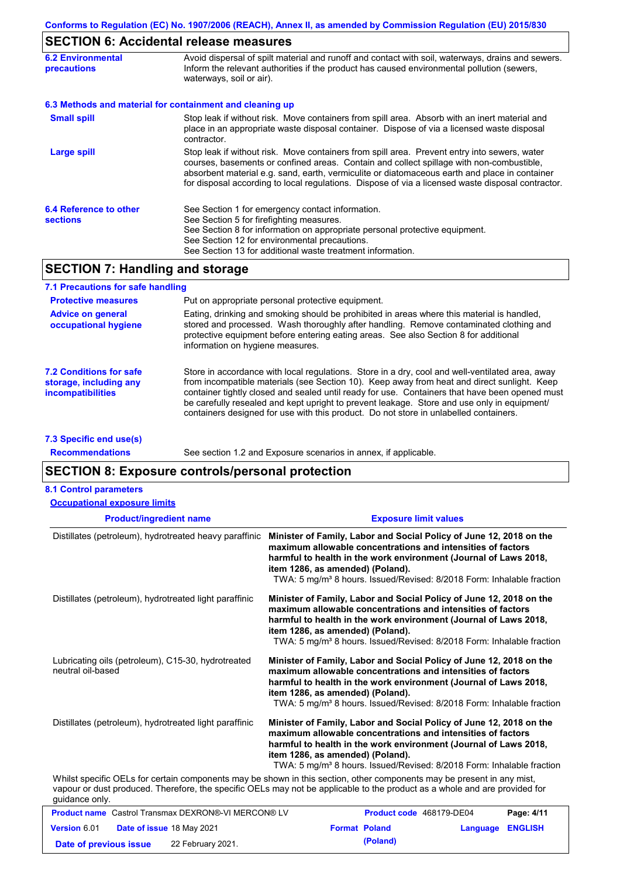# **SECTION 6: Accidental release measures**

| <b>6.2 Environmental</b><br><b>precautions</b> | Avoid dispersal of spilt material and runoff and contact with soil, waterways, drains and sewers.<br>Inform the relevant authorities if the product has caused environmental pollution (sewers,<br>waterways, soil or air).                                                                                                                                                                    |  |
|------------------------------------------------|------------------------------------------------------------------------------------------------------------------------------------------------------------------------------------------------------------------------------------------------------------------------------------------------------------------------------------------------------------------------------------------------|--|
|                                                | 6.3 Methods and material for containment and cleaning up                                                                                                                                                                                                                                                                                                                                       |  |
| <b>Small spill</b>                             | Stop leak if without risk. Move containers from spill area. Absorb with an inert material and<br>place in an appropriate waste disposal container. Dispose of via a licensed waste disposal<br>contractor.                                                                                                                                                                                     |  |
| Large spill                                    | Stop leak if without risk. Move containers from spill area. Prevent entry into sewers, water<br>courses, basements or confined areas. Contain and collect spillage with non-combustible,<br>absorbent material e.g. sand, earth, vermiculite or diatomaceous earth and place in container<br>for disposal according to local regulations. Dispose of via a licensed waste disposal contractor. |  |
| 6.4 Reference to other<br><b>sections</b>      | See Section 1 for emergency contact information.<br>See Section 5 for firefighting measures.<br>See Section 8 for information on appropriate personal protective equipment.<br>See Section 12 for environmental precautions.<br>See Section 13 for additional waste treatment information.                                                                                                     |  |

# **SECTION 7: Handling and storage**

| 7.1 Precautions for safe handling                                             |                                                                                                                                                                                                                                                                                                                                                                                                                                                                                          |
|-------------------------------------------------------------------------------|------------------------------------------------------------------------------------------------------------------------------------------------------------------------------------------------------------------------------------------------------------------------------------------------------------------------------------------------------------------------------------------------------------------------------------------------------------------------------------------|
| <b>Protective measures</b>                                                    | Put on appropriate personal protective equipment.                                                                                                                                                                                                                                                                                                                                                                                                                                        |
| <b>Advice on general</b><br>occupational hygiene                              | Eating, drinking and smoking should be prohibited in areas where this material is handled.<br>stored and processed. Wash thoroughly after handling. Remove contaminated clothing and<br>protective equipment before entering eating areas. See also Section 8 for additional<br>information on hygiene measures.                                                                                                                                                                         |
| 7.2 Conditions for safe<br>storage, including any<br><i>incompatibilities</i> | Store in accordance with local regulations. Store in a dry, cool and well-ventilated area, away<br>from incompatible materials (see Section 10). Keep away from heat and direct sunlight. Keep<br>container tightly closed and sealed until ready for use. Containers that have been opened must<br>be carefully resealed and kept upright to prevent leakage. Store and use only in equipment/<br>containers designed for use with this product. Do not store in unlabelled containers. |
| 7.3 Specific end use(s)                                                       |                                                                                                                                                                                                                                                                                                                                                                                                                                                                                          |

**Recommendations**

See section 1.2 and Exposure scenarios in annex, if applicable.

### **SECTION 8: Exposure controls/personal protection**

| <b>8.1 Control parameters</b>                                           |                                                                                                                                                                                                                                                                                                                                 |
|-------------------------------------------------------------------------|---------------------------------------------------------------------------------------------------------------------------------------------------------------------------------------------------------------------------------------------------------------------------------------------------------------------------------|
| <b>Occupational exposure limits</b>                                     |                                                                                                                                                                                                                                                                                                                                 |
| <b>Product/ingredient name</b>                                          | <b>Exposure limit values</b>                                                                                                                                                                                                                                                                                                    |
| Distillates (petroleum), hydrotreated heavy paraffinic                  | Minister of Family, Labor and Social Policy of June 12, 2018 on the<br>maximum allowable concentrations and intensities of factors<br>harmful to health in the work environment (Journal of Laws 2018,<br>item 1286, as amended) (Poland).<br>TWA: 5 mg/m <sup>3</sup> 8 hours. Issued/Revised: 8/2018 Form: Inhalable fraction |
| Distillates (petroleum), hydrotreated light paraffinic                  | Minister of Family, Labor and Social Policy of June 12, 2018 on the<br>maximum allowable concentrations and intensities of factors<br>harmful to health in the work environment (Journal of Laws 2018,<br>item 1286, as amended) (Poland).<br>TWA: 5 mg/m <sup>3</sup> 8 hours. Issued/Revised: 8/2018 Form: Inhalable fraction |
| Lubricating oils (petroleum), C15-30, hydrotreated<br>neutral oil-based | Minister of Family, Labor and Social Policy of June 12, 2018 on the<br>maximum allowable concentrations and intensities of factors<br>harmful to health in the work environment (Journal of Laws 2018,<br>item 1286, as amended) (Poland).<br>TWA: 5 mg/m <sup>3</sup> 8 hours. Issued/Revised: 8/2018 Form: Inhalable fraction |
| Distillates (petroleum), hydrotreated light paraffinic                  | Minister of Family, Labor and Social Policy of June 12, 2018 on the<br>maximum allowable concentrations and intensities of factors<br>harmful to health in the work environment (Journal of Laws 2018,<br>item 1286, as amended) (Poland).<br>TWA: 5 mg/m <sup>3</sup> 8 hours. Issued/Revised: 8/2018 Form: Inhalable fraction |
| guidance only.                                                          | Whilst specific OELs for certain components may be shown in this section, other components may be present in any mist,<br>vapour or dust produced. Therefore, the specific OELs may not be applicable to the product as a whole and are provided for                                                                            |
| <b>Product name</b> Castrol Transmax DEXRON®-VI MERCON® LV              | Product code 468179-DE04<br>Page: 4/11                                                                                                                                                                                                                                                                                          |
| Version 6.01<br>Date of issue 18 May 2021                               | <b>Format Poland</b><br><b>ENGLISH</b><br>Language                                                                                                                                                                                                                                                                              |
| 22 February 2021.<br>Date of previous issue                             | (Poland)                                                                                                                                                                                                                                                                                                                        |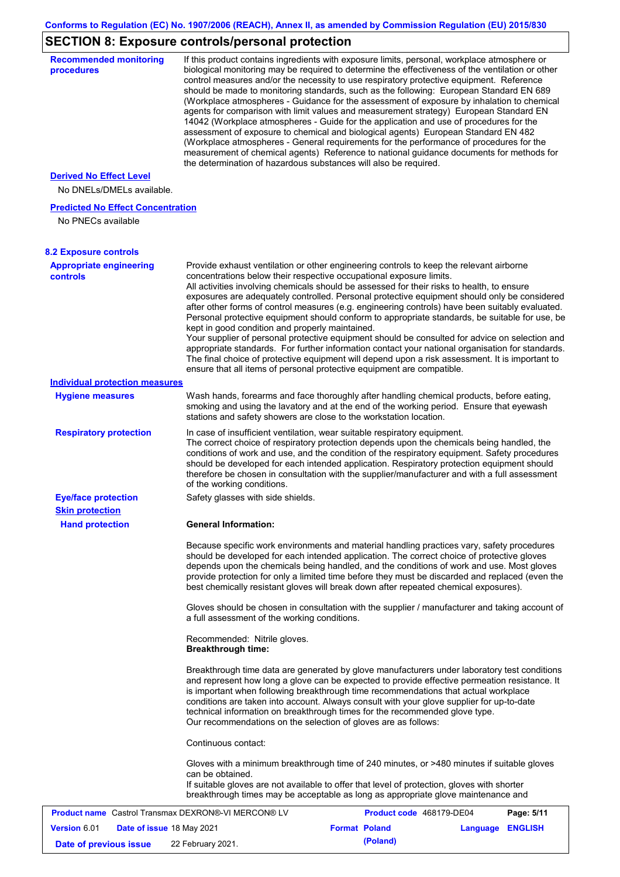# **SECTION 8: Exposure controls/personal protection**

| <b>Recommended monitoring</b><br>procedures                 |                                                           | If this product contains ingredients with exposure limits, personal, workplace atmosphere or<br>biological monitoring may be required to determine the effectiveness of the ventilation or other<br>control measures and/or the necessity to use respiratory protective equipment. Reference<br>should be made to monitoring standards, such as the following: European Standard EN 689<br>(Workplace atmospheres - Guidance for the assessment of exposure by inhalation to chemical<br>agents for comparison with limit values and measurement strategy) European Standard EN<br>14042 (Workplace atmospheres - Guide for the application and use of procedures for the<br>assessment of exposure to chemical and biological agents) European Standard EN 482<br>(Workplace atmospheres - General requirements for the performance of procedures for the<br>measurement of chemical agents) Reference to national guidance documents for methods for<br>the determination of hazardous substances will also be required. |                  |            |
|-------------------------------------------------------------|-----------------------------------------------------------|----------------------------------------------------------------------------------------------------------------------------------------------------------------------------------------------------------------------------------------------------------------------------------------------------------------------------------------------------------------------------------------------------------------------------------------------------------------------------------------------------------------------------------------------------------------------------------------------------------------------------------------------------------------------------------------------------------------------------------------------------------------------------------------------------------------------------------------------------------------------------------------------------------------------------------------------------------------------------------------------------------------------------|------------------|------------|
| <b>Derived No Effect Level</b><br>No DNELs/DMELs available. |                                                           |                                                                                                                                                                                                                                                                                                                                                                                                                                                                                                                                                                                                                                                                                                                                                                                                                                                                                                                                                                                                                            |                  |            |
| <b>Predicted No Effect Concentration</b>                    |                                                           |                                                                                                                                                                                                                                                                                                                                                                                                                                                                                                                                                                                                                                                                                                                                                                                                                                                                                                                                                                                                                            |                  |            |
| No PNECs available                                          |                                                           |                                                                                                                                                                                                                                                                                                                                                                                                                                                                                                                                                                                                                                                                                                                                                                                                                                                                                                                                                                                                                            |                  |            |
| <b>8.2 Exposure controls</b>                                |                                                           |                                                                                                                                                                                                                                                                                                                                                                                                                                                                                                                                                                                                                                                                                                                                                                                                                                                                                                                                                                                                                            |                  |            |
| <b>Appropriate engineering</b><br><b>controls</b>           | kept in good condition and properly maintained.           | Provide exhaust ventilation or other engineering controls to keep the relevant airborne<br>concentrations below their respective occupational exposure limits.<br>All activities involving chemicals should be assessed for their risks to health, to ensure<br>exposures are adequately controlled. Personal protective equipment should only be considered<br>after other forms of control measures (e.g. engineering controls) have been suitably evaluated.<br>Personal protective equipment should conform to appropriate standards, be suitable for use, be<br>Your supplier of personal protective equipment should be consulted for advice on selection and<br>appropriate standards. For further information contact your national organisation for standards.<br>The final choice of protective equipment will depend upon a risk assessment. It is important to<br>ensure that all items of personal protective equipment are compatible.                                                                       |                  |            |
| <b>Individual protection measures</b>                       |                                                           |                                                                                                                                                                                                                                                                                                                                                                                                                                                                                                                                                                                                                                                                                                                                                                                                                                                                                                                                                                                                                            |                  |            |
| <b>Hygiene measures</b>                                     |                                                           | Wash hands, forearms and face thoroughly after handling chemical products, before eating,<br>smoking and using the lavatory and at the end of the working period. Ensure that eyewash<br>stations and safety showers are close to the workstation location.                                                                                                                                                                                                                                                                                                                                                                                                                                                                                                                                                                                                                                                                                                                                                                |                  |            |
| <b>Respiratory protection</b>                               | of the working conditions.                                | In case of insufficient ventilation, wear suitable respiratory equipment.<br>The correct choice of respiratory protection depends upon the chemicals being handled, the<br>conditions of work and use, and the condition of the respiratory equipment. Safety procedures<br>should be developed for each intended application. Respiratory protection equipment should<br>therefore be chosen in consultation with the supplier/manufacturer and with a full assessment                                                                                                                                                                                                                                                                                                                                                                                                                                                                                                                                                    |                  |            |
| <b>Eye/face protection</b><br><b>Skin protection</b>        | Safety glasses with side shields.                         |                                                                                                                                                                                                                                                                                                                                                                                                                                                                                                                                                                                                                                                                                                                                                                                                                                                                                                                                                                                                                            |                  |            |
| <b>Hand protection</b>                                      | <b>General Information:</b>                               |                                                                                                                                                                                                                                                                                                                                                                                                                                                                                                                                                                                                                                                                                                                                                                                                                                                                                                                                                                                                                            |                  |            |
|                                                             |                                                           | Because specific work environments and material handling practices vary, safety procedures<br>should be developed for each intended application. The correct choice of protective gloves<br>depends upon the chemicals being handled, and the conditions of work and use. Most gloves<br>provide protection for only a limited time before they must be discarded and replaced (even the<br>best chemically resistant gloves will break down after repeated chemical exposures).                                                                                                                                                                                                                                                                                                                                                                                                                                                                                                                                           |                  |            |
|                                                             | a full assessment of the working conditions.              | Gloves should be chosen in consultation with the supplier / manufacturer and taking account of                                                                                                                                                                                                                                                                                                                                                                                                                                                                                                                                                                                                                                                                                                                                                                                                                                                                                                                             |                  |            |
|                                                             | Recommended: Nitrile gloves.<br><b>Breakthrough time:</b> |                                                                                                                                                                                                                                                                                                                                                                                                                                                                                                                                                                                                                                                                                                                                                                                                                                                                                                                                                                                                                            |                  |            |
|                                                             |                                                           | Breakthrough time data are generated by glove manufacturers under laboratory test conditions<br>and represent how long a glove can be expected to provide effective permeation resistance. It<br>is important when following breakthrough time recommendations that actual workplace<br>conditions are taken into account. Always consult with your glove supplier for up-to-date<br>technical information on breakthrough times for the recommended glove type.<br>Our recommendations on the selection of gloves are as follows:                                                                                                                                                                                                                                                                                                                                                                                                                                                                                         |                  |            |
|                                                             | Continuous contact:                                       |                                                                                                                                                                                                                                                                                                                                                                                                                                                                                                                                                                                                                                                                                                                                                                                                                                                                                                                                                                                                                            |                  |            |
|                                                             | can be obtained.                                          | Gloves with a minimum breakthrough time of 240 minutes, or >480 minutes if suitable gloves<br>If suitable gloves are not available to offer that level of protection, gloves with shorter<br>breakthrough times may be acceptable as long as appropriate glove maintenance and                                                                                                                                                                                                                                                                                                                                                                                                                                                                                                                                                                                                                                                                                                                                             |                  |            |
| <b>Product name</b> Castrol Transmax DEXRON®-VI MERCON® LV  |                                                           | Product code 468179-DE04                                                                                                                                                                                                                                                                                                                                                                                                                                                                                                                                                                                                                                                                                                                                                                                                                                                                                                                                                                                                   |                  | Page: 5/11 |
| Version 6.01<br>Date of issue 18 May 2021                   |                                                           | <b>Format Poland</b>                                                                                                                                                                                                                                                                                                                                                                                                                                                                                                                                                                                                                                                                                                                                                                                                                                                                                                                                                                                                       | Language ENGLISH |            |
| Date of previous issue                                      | 22 February 2021.                                         | (Poland)                                                                                                                                                                                                                                                                                                                                                                                                                                                                                                                                                                                                                                                                                                                                                                                                                                                                                                                                                                                                                   |                  |            |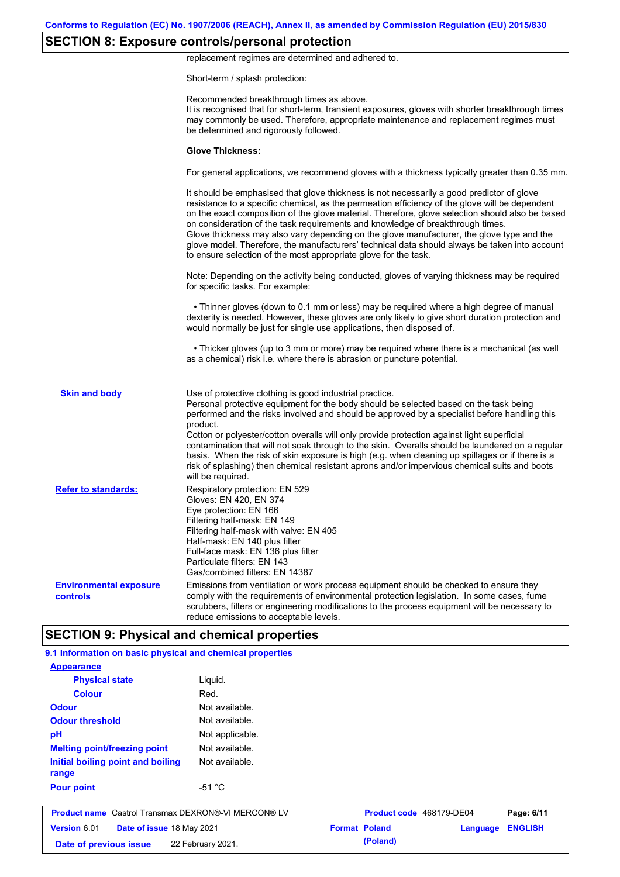# **SECTION 8: Exposure controls/personal protection**

replacement regimes are determined and adhered to.

Short-term / splash protection:

|                                           | Recommended breakthrough times as above.<br>It is recognised that for short-term, transient exposures, gloves with shorter breakthrough times<br>may commonly be used. Therefore, appropriate maintenance and replacement regimes must<br>be determined and rigorously followed.                                                                                                                                                                                                                                                                                                                                                                                                      |
|-------------------------------------------|---------------------------------------------------------------------------------------------------------------------------------------------------------------------------------------------------------------------------------------------------------------------------------------------------------------------------------------------------------------------------------------------------------------------------------------------------------------------------------------------------------------------------------------------------------------------------------------------------------------------------------------------------------------------------------------|
|                                           | <b>Glove Thickness:</b>                                                                                                                                                                                                                                                                                                                                                                                                                                                                                                                                                                                                                                                               |
|                                           | For general applications, we recommend gloves with a thickness typically greater than 0.35 mm.                                                                                                                                                                                                                                                                                                                                                                                                                                                                                                                                                                                        |
|                                           | It should be emphasised that glove thickness is not necessarily a good predictor of glove<br>resistance to a specific chemical, as the permeation efficiency of the glove will be dependent<br>on the exact composition of the glove material. Therefore, glove selection should also be based<br>on consideration of the task requirements and knowledge of breakthrough times.<br>Glove thickness may also vary depending on the glove manufacturer, the glove type and the<br>glove model. Therefore, the manufacturers' technical data should always be taken into account<br>to ensure selection of the most appropriate glove for the task.                                     |
|                                           | Note: Depending on the activity being conducted, gloves of varying thickness may be required<br>for specific tasks. For example:                                                                                                                                                                                                                                                                                                                                                                                                                                                                                                                                                      |
|                                           | • Thinner gloves (down to 0.1 mm or less) may be required where a high degree of manual<br>dexterity is needed. However, these gloves are only likely to give short duration protection and<br>would normally be just for single use applications, then disposed of.                                                                                                                                                                                                                                                                                                                                                                                                                  |
|                                           | • Thicker gloves (up to 3 mm or more) may be required where there is a mechanical (as well<br>as a chemical) risk i.e. where there is abrasion or puncture potential.                                                                                                                                                                                                                                                                                                                                                                                                                                                                                                                 |
| <b>Skin and body</b>                      | Use of protective clothing is good industrial practice.<br>Personal protective equipment for the body should be selected based on the task being<br>performed and the risks involved and should be approved by a specialist before handling this<br>product.<br>Cotton or polyester/cotton overalls will only provide protection against light superficial<br>contamination that will not soak through to the skin. Overalls should be laundered on a regular<br>basis. When the risk of skin exposure is high (e.g. when cleaning up spillages or if there is a<br>risk of splashing) then chemical resistant aprons and/or impervious chemical suits and boots<br>will be required. |
| <b>Refer to standards:</b>                | Respiratory protection: EN 529<br>Gloves: EN 420, EN 374<br>Eye protection: EN 166<br>Filtering half-mask: EN 149<br>Filtering half-mask with valve: EN 405<br>Half-mask: EN 140 plus filter<br>Full-face mask: EN 136 plus filter<br>Particulate filters: EN 143<br>Gas/combined filters: EN 14387                                                                                                                                                                                                                                                                                                                                                                                   |
| <b>Environmental exposure</b><br>controls | Emissions from ventilation or work process equipment should be checked to ensure they<br>comply with the requirements of environmental protection legislation. In some cases, fume<br>scrubbers, filters or engineering modifications to the process equipment will be necessary to<br>reduce emissions to acceptable levels.                                                                                                                                                                                                                                                                                                                                                         |
|                                           | <b>SECTION 9: Physical and chemical properties</b>                                                                                                                                                                                                                                                                                                                                                                                                                                                                                                                                                                                                                                    |

| Version 6.01<br>Date of issue 18 May 2021<br>Date of previous issue | 22 February 2021. | <b>Format Poland</b> | (Poland)                 | Language | <b>ENGLISH</b> |
|---------------------------------------------------------------------|-------------------|----------------------|--------------------------|----------|----------------|
| <b>Product name</b> Castrol Transmax DEXRON®-VI MERCON® LV          |                   |                      | Product code 468179-DE04 |          | Page: 6/11     |
| <b>Pour point</b>                                                   | $-51 °C$          |                      |                          |          |                |
| Initial boiling point and boiling<br>range                          | Not available.    |                      |                          |          |                |
| <b>Melting point/freezing point</b>                                 | Not available.    |                      |                          |          |                |
| pH                                                                  | Not applicable.   |                      |                          |          |                |
| <b>Odour threshold</b>                                              | Not available.    |                      |                          |          |                |
| <b>Odour</b>                                                        | Not available.    |                      |                          |          |                |
| <b>Colour</b>                                                       | Red.              |                      |                          |          |                |
| <b>Physical state</b>                                               | Liquid.           |                      |                          |          |                |
| <b>Appearance</b>                                                   |                   |                      |                          |          |                |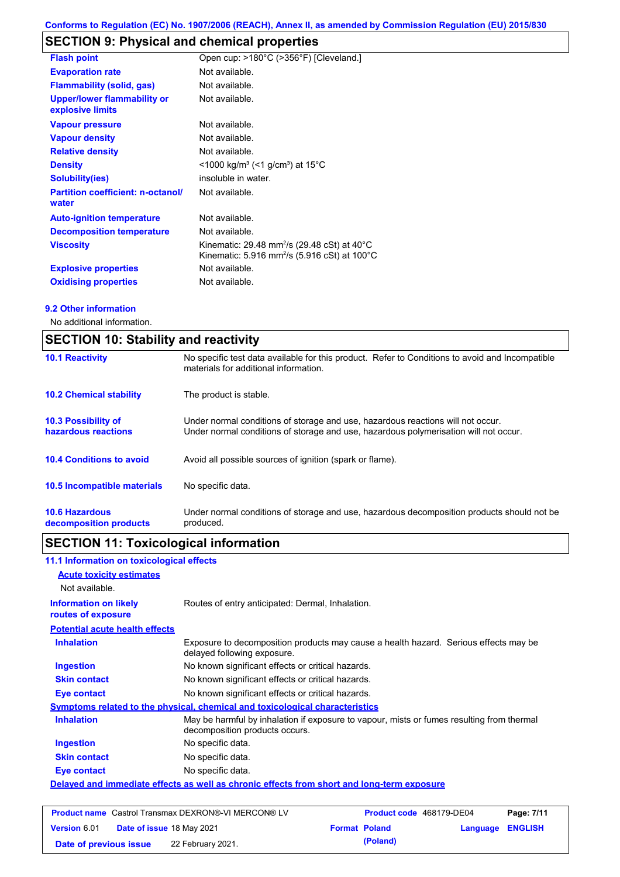# **SECTION 9: Physical and chemical properties**

| <b>Flash point</b>                                     | Open cup: >180°C (>356°F) [Cleveland.]                                                                                                    |
|--------------------------------------------------------|-------------------------------------------------------------------------------------------------------------------------------------------|
| <b>Evaporation rate</b>                                | Not available.                                                                                                                            |
| <b>Flammability (solid, gas)</b>                       | Not available.                                                                                                                            |
| <b>Upper/lower flammability or</b><br>explosive limits | Not available.                                                                                                                            |
| <b>Vapour pressure</b>                                 | Not available.                                                                                                                            |
| <b>Vapour density</b>                                  | Not available.                                                                                                                            |
| <b>Relative density</b>                                | Not available.                                                                                                                            |
| <b>Density</b>                                         | $<$ 1000 kg/m <sup>3</sup> (<1 g/cm <sup>3</sup> ) at 15 <sup>°</sup> C                                                                   |
| <b>Solubility(ies)</b>                                 | insoluble in water.                                                                                                                       |
| <b>Partition coefficient: n-octanol/</b><br>water      | Not available.                                                                                                                            |
| <b>Auto-ignition temperature</b>                       | Not available.                                                                                                                            |
| <b>Decomposition temperature</b>                       | Not available.                                                                                                                            |
| <b>Viscosity</b>                                       | Kinematic: 29.48 mm <sup>2</sup> /s (29.48 cSt) at 40 $^{\circ}$ C<br>Kinematic: 5.916 mm <sup>2</sup> /s (5.916 cSt) at 100 $^{\circ}$ C |
| <b>Explosive properties</b>                            | Not available.                                                                                                                            |
| <b>Oxidising properties</b>                            | Not available.                                                                                                                            |

#### **9.2 Other information**

No additional information.

| <b>SECTION 10: Stability and reactivity</b>       |                                                                                                                                                                         |  |
|---------------------------------------------------|-------------------------------------------------------------------------------------------------------------------------------------------------------------------------|--|
| <b>10.1 Reactivity</b>                            | No specific test data available for this product. Refer to Conditions to avoid and Incompatible<br>materials for additional information.                                |  |
| <b>10.2 Chemical stability</b>                    | The product is stable.                                                                                                                                                  |  |
| <b>10.3 Possibility of</b><br>hazardous reactions | Under normal conditions of storage and use, hazardous reactions will not occur.<br>Under normal conditions of storage and use, hazardous polymerisation will not occur. |  |
| <b>10.4 Conditions to avoid</b>                   | Avoid all possible sources of ignition (spark or flame).                                                                                                                |  |
| <b>10.5 Incompatible materials</b>                | No specific data.                                                                                                                                                       |  |
| <b>10.6 Hazardous</b><br>decomposition products   | Under normal conditions of storage and use, hazardous decomposition products should not be<br>produced.                                                                 |  |

# **SECTION 11: Toxicological information**

| 11.1 Information on toxicological effects          |                                                                                                                             |
|----------------------------------------------------|-----------------------------------------------------------------------------------------------------------------------------|
| <b>Acute toxicity estimates</b>                    |                                                                                                                             |
| Not available.                                     |                                                                                                                             |
| <b>Information on likely</b><br>routes of exposure | Routes of entry anticipated: Dermal, Inhalation.                                                                            |
| <b>Potential acute health effects</b>              |                                                                                                                             |
| <b>Inhalation</b>                                  | Exposure to decomposition products may cause a health hazard. Serious effects may be<br>delayed following exposure.         |
| Ingestion                                          | No known significant effects or critical hazards.                                                                           |
| <b>Skin contact</b>                                | No known significant effects or critical hazards.                                                                           |
| Eye contact                                        | No known significant effects or critical hazards.                                                                           |
|                                                    | <b>Symptoms related to the physical, chemical and toxicological characteristics</b>                                         |
| <b>Inhalation</b>                                  | May be harmful by inhalation if exposure to vapour, mists or fumes resulting from thermal<br>decomposition products occurs. |
| Ingestion                                          | No specific data.                                                                                                           |
| <b>Skin contact</b>                                | No specific data.                                                                                                           |
| Eye contact                                        | No specific data.                                                                                                           |
|                                                    | Delayed and immediate effects as well as chronic effects from short and long-term exposure                                  |

|                        | <b>Product name</b> Castrol Transmax DEXRON®-VI MERCON® LV | Product code 468179-DE04 |                  | Page: 7/11 |
|------------------------|------------------------------------------------------------|--------------------------|------------------|------------|
| <b>Version 6.01</b>    | <b>Date of issue 18 May 2021</b>                           | <b>Format Poland</b>     | Language ENGLISH |            |
| Date of previous issue | 22 February 2021.                                          | (Poland)                 |                  |            |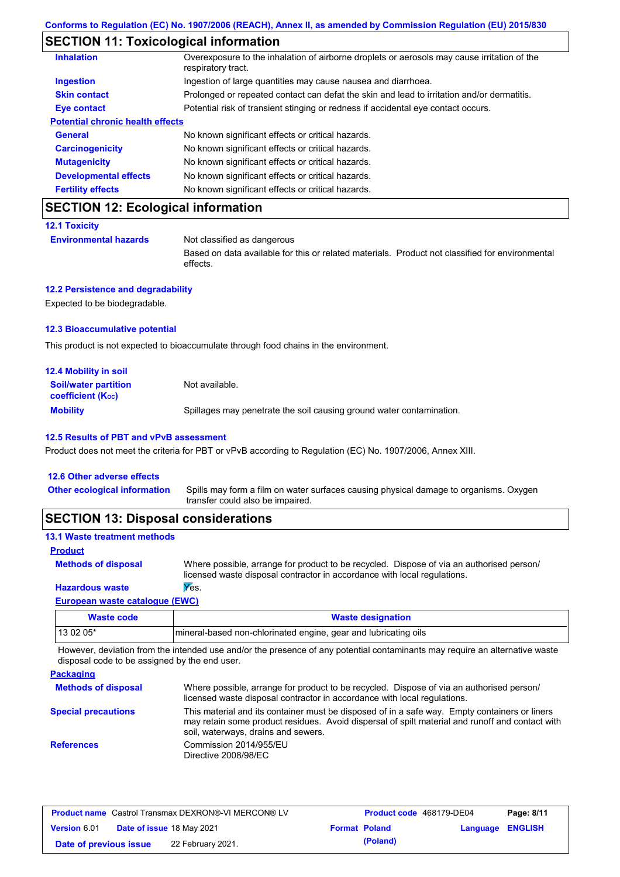# **SECTION 11: Toxicological information**

| <b>Inhalation</b>                       | Overexposure to the inhalation of airborne droplets or aerosols may cause irritation of the<br>respiratory tract. |
|-----------------------------------------|-------------------------------------------------------------------------------------------------------------------|
| <b>Ingestion</b>                        | Ingestion of large quantities may cause nausea and diarrhoea.                                                     |
| <b>Skin contact</b>                     | Prolonged or repeated contact can defat the skin and lead to irritation and/or dermatitis.                        |
| Eye contact                             | Potential risk of transient stinging or redness if accidental eye contact occurs.                                 |
| <b>Potential chronic health effects</b> |                                                                                                                   |
| <b>General</b>                          | No known significant effects or critical hazards.                                                                 |
| <b>Carcinogenicity</b>                  | No known significant effects or critical hazards.                                                                 |
| <b>Mutagenicity</b>                     | No known significant effects or critical hazards.                                                                 |
| <b>Developmental effects</b>            | No known significant effects or critical hazards.                                                                 |
| <b>Fertility effects</b>                | No known significant effects or critical hazards.                                                                 |

# **SECTION 12: Ecological information**

#### **12.1 Toxicity**

**Environmental hazards** Not classified as dangerous

Based on data available for this or related materials. Product not classified for environmental effects.

### **12.2 Persistence and degradability**

Expected to be biodegradable.

#### **12.3 Bioaccumulative potential**

This product is not expected to bioaccumulate through food chains in the environment.

| <b>12.4 Mobility in soil</b>                                  |                                                                      |
|---------------------------------------------------------------|----------------------------------------------------------------------|
| <b>Soil/water partition</b><br>coefficient (K <sub>oc</sub> ) | Not available.                                                       |
| <b>Mobility</b>                                               | Spillages may penetrate the soil causing ground water contamination. |

#### **12.5 Results of PBT and vPvB assessment**

Product does not meet the criteria for PBT or vPvB according to Regulation (EC) No. 1907/2006, Annex XIII.

#### **12.6 Other adverse effects**

| Other ecological information Spills may form a film on water surfaces causing physical damage to organisms. Oxygen |
|--------------------------------------------------------------------------------------------------------------------|
| transfer could also be impaired.                                                                                   |

# **SECTION 13: Disposal considerations**

| <b>13.1 Waste treatment methods</b> |                                                                                                                                                                      |
|-------------------------------------|----------------------------------------------------------------------------------------------------------------------------------------------------------------------|
| <b>Product</b>                      |                                                                                                                                                                      |
| <b>Methods of disposal</b>          | Where possible, arrange for product to be recycled. Dispose of via an authorised person/<br>licensed waste disposal contractor in accordance with local regulations. |
| <b>Hazardous waste</b>              | Yes.                                                                                                                                                                 |

#### **European waste catalogue (EWC)**

| Waste code | <b>Waste designation</b>                                        |
|------------|-----------------------------------------------------------------|
| 13 02 05*  | mineral-based non-chlorinated engine, gear and lubricating oils |

However, deviation from the intended use and/or the presence of any potential contaminants may require an alternative waste disposal code to be assigned by the end user.

| <b>Packaging</b>           |                                                                                                                                                                                                                                         |
|----------------------------|-----------------------------------------------------------------------------------------------------------------------------------------------------------------------------------------------------------------------------------------|
| <b>Methods of disposal</b> | Where possible, arrange for product to be recycled. Dispose of via an authorised person/<br>licensed waste disposal contractor in accordance with local regulations.                                                                    |
| <b>Special precautions</b> | This material and its container must be disposed of in a safe way. Empty containers or liners<br>may retain some product residues. Avoid dispersal of spilt material and runoff and contact with<br>soil, waterways, drains and sewers. |
| <b>References</b>          | Commission 2014/955/EU<br>Directive 2008/98/EC                                                                                                                                                                                          |

| <b>Product name</b> Castrol Transmax DEXRON®-VI MERCON® LV |  |                           | <b>Product code</b> 468179-DE04 |          | Page: 8/11              |  |
|------------------------------------------------------------|--|---------------------------|---------------------------------|----------|-------------------------|--|
| <b>Version 6.01</b>                                        |  | Date of issue 18 May 2021 | <b>Format Poland</b>            |          | <b>Language ENGLISH</b> |  |
| Date of previous issue                                     |  | 22 February 2021.         |                                 | (Poland) |                         |  |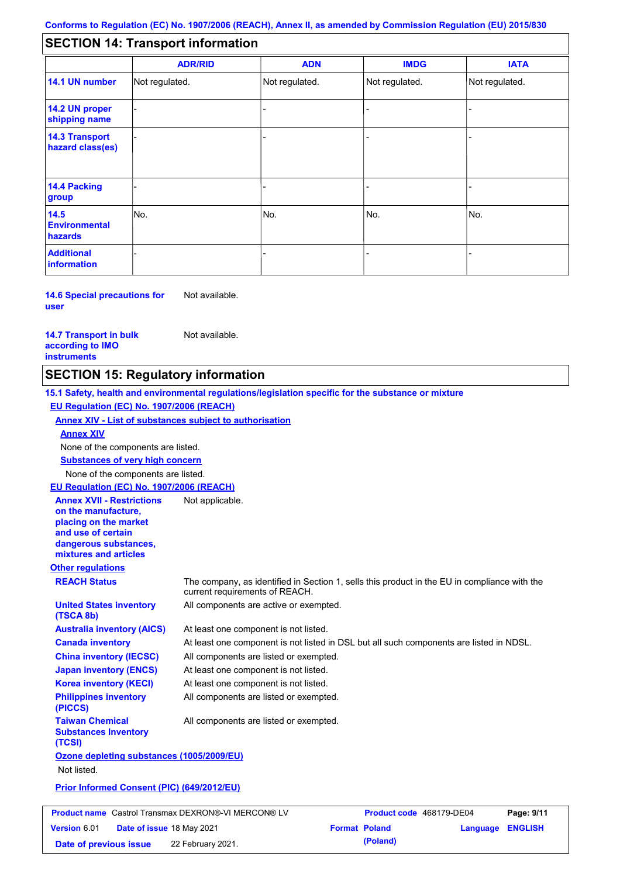#### - - - - - - - - - Not regulated. Not regulated. Not regulated. - - - **SECTION 14: Transport information ADR/RID IMDG IATA 14.1 UN number 14.2 UN proper shipping name 14.3 Transport hazard class(es) 14.4 Packing group ADN Additional information 14.5 Environmental hazards** No. 1988 | No. 1989 | No. 1989 | No. 1989 | No. 1989 | No. 1989 | No. 1989 | No. 1989 | No. 1989 | No. 1989 | Not regulated. - -<br>No. - -

**14.6 Special precautions for user** Not available.

**14.7 Transport in bulk according to IMO instruments**

**Version** 6.01

Not available.

# **SECTION 15: Regulatory information**

**Other regulations REACH Status** The company, as identified in Section 1, sells this product in the EU in compliance with the current requirements of REACH. **15.1 Safety, health and environmental regulations/legislation specific for the substance or mixture EU Regulation (EC) No. 1907/2006 (REACH) Annex XIV - List of substances subject to authorisation Substances of very high concern** None of the components are listed. At least one component is not listed. At least one component is not listed in DSL but all such components are listed in NDSL. All components are listed or exempted. At least one component is not listed. All components are active or exempted. At least one component is not listed. All components are listed or exempted. **United States inventory (TSCA 8b) Australia inventory (AICS) Canada inventory China inventory (IECSC) Japan inventory (ENCS) Korea inventory (KECI) Philippines inventory (PICCS) Taiwan Chemical Substances Inventory (TCSI)** All components are listed or exempted. **Ozone depleting substances (1005/2009/EU)** Not listed. **Prior Informed Consent (PIC) (649/2012/EU)** None of the components are listed. **Annex XIV EU Regulation (EC) No. 1907/2006 (REACH) Annex XVII - Restrictions on the manufacture, placing on the market and use of certain dangerous substances, mixtures and articles** Not applicable. **Product name** Castrol Transmax DEXRON®-VI MERCON® LV **Product code** 468179-DE04 **Page: 9/11** |

**Date of issue** 18 May 2021 **Format Poland Language ENGLISH**

**Date of previous issue (Poland)** 22 February 2021.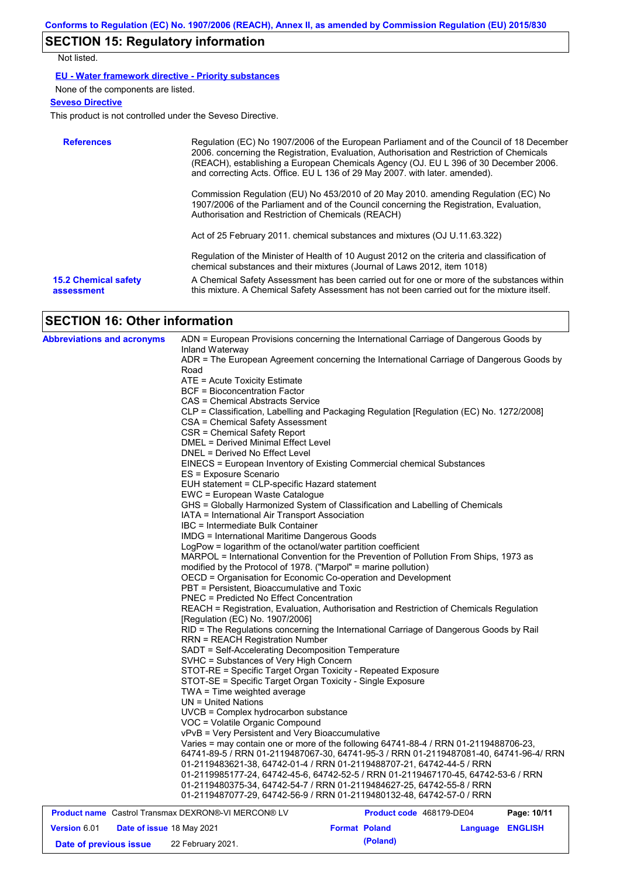# **SECTION 15: Regulatory information**

Not listed.

### **EU - Water framework directive - Priority substances**

None of the components are listed.

### **Seveso Directive**

This product is not controlled under the Seveso Directive.

| <b>References</b>                         | Regulation (EC) No 1907/2006 of the European Parliament and of the Council of 18 December<br>2006. concerning the Registration, Evaluation, Authorisation and Restriction of Chemicals<br>(REACH), establishing a European Chemicals Agency (OJ. EU L 396 of 30 December 2006.<br>and correcting Acts. Office. EU L 136 of 29 May 2007. with later. amended). |
|-------------------------------------------|---------------------------------------------------------------------------------------------------------------------------------------------------------------------------------------------------------------------------------------------------------------------------------------------------------------------------------------------------------------|
|                                           | Commission Regulation (EU) No 453/2010 of 20 May 2010. amending Regulation (EC) No<br>1907/2006 of the Parliament and of the Council concerning the Registration, Evaluation,<br>Authorisation and Restriction of Chemicals (REACH)                                                                                                                           |
|                                           | Act of 25 February 2011. chemical substances and mixtures (OJ U.11.63.322)                                                                                                                                                                                                                                                                                    |
|                                           | Regulation of the Minister of Health of 10 August 2012 on the criteria and classification of<br>chemical substances and their mixtures (Journal of Laws 2012, item 1018)                                                                                                                                                                                      |
| <b>15.2 Chemical safety</b><br>assessment | A Chemical Safety Assessment has been carried out for one or more of the substances within<br>this mixture. A Chemical Safety Assessment has not been carried out for the mixture itself.                                                                                                                                                                     |

# **SECTION 16: Other information**

| <b>Abbreviations and acronyms</b>                          |                                                                                                                            | ADN = European Provisions concerning the International Carriage of Dangerous Goods by    |             |
|------------------------------------------------------------|----------------------------------------------------------------------------------------------------------------------------|------------------------------------------------------------------------------------------|-------------|
|                                                            | Inland Waterway                                                                                                            |                                                                                          |             |
|                                                            | Road                                                                                                                       | ADR = The European Agreement concerning the International Carriage of Dangerous Goods by |             |
|                                                            | ATE = Acute Toxicity Estimate                                                                                              |                                                                                          |             |
|                                                            | <b>BCF</b> = Bioconcentration Factor                                                                                       |                                                                                          |             |
|                                                            | CAS = Chemical Abstracts Service                                                                                           |                                                                                          |             |
|                                                            |                                                                                                                            | CLP = Classification, Labelling and Packaging Regulation [Regulation (EC) No. 1272/2008] |             |
|                                                            | CSA = Chemical Safety Assessment                                                                                           |                                                                                          |             |
|                                                            | CSR = Chemical Safety Report                                                                                               |                                                                                          |             |
|                                                            | DMEL = Derived Minimal Effect Level                                                                                        |                                                                                          |             |
|                                                            | DNEL = Derived No Effect Level                                                                                             |                                                                                          |             |
|                                                            |                                                                                                                            | EINECS = European Inventory of Existing Commercial chemical Substances                   |             |
|                                                            | ES = Exposure Scenario                                                                                                     |                                                                                          |             |
|                                                            | EUH statement = CLP-specific Hazard statement                                                                              |                                                                                          |             |
|                                                            | EWC = European Waste Catalogue                                                                                             |                                                                                          |             |
|                                                            | IATA = International Air Transport Association                                                                             | GHS = Globally Harmonized System of Classification and Labelling of Chemicals            |             |
|                                                            | IBC = Intermediate Bulk Container                                                                                          |                                                                                          |             |
|                                                            | IMDG = International Maritime Dangerous Goods                                                                              |                                                                                          |             |
|                                                            | LogPow = logarithm of the octanol/water partition coefficient                                                              |                                                                                          |             |
|                                                            |                                                                                                                            | MARPOL = International Convention for the Prevention of Pollution From Ships, 1973 as    |             |
|                                                            | modified by the Protocol of 1978. ("Marpol" = marine pollution)                                                            |                                                                                          |             |
|                                                            | OECD = Organisation for Economic Co-operation and Development                                                              |                                                                                          |             |
|                                                            | PBT = Persistent, Bioaccumulative and Toxic                                                                                |                                                                                          |             |
|                                                            | <b>PNEC = Predicted No Effect Concentration</b>                                                                            |                                                                                          |             |
|                                                            |                                                                                                                            | REACH = Registration, Evaluation, Authorisation and Restriction of Chemicals Regulation  |             |
|                                                            | [Regulation (EC) No. 1907/2006]                                                                                            |                                                                                          |             |
|                                                            |                                                                                                                            | RID = The Regulations concerning the International Carriage of Dangerous Goods by Rail   |             |
|                                                            | <b>RRN = REACH Registration Number</b>                                                                                     |                                                                                          |             |
|                                                            | SADT = Self-Accelerating Decomposition Temperature                                                                         |                                                                                          |             |
|                                                            | SVHC = Substances of Very High Concern                                                                                     |                                                                                          |             |
|                                                            | STOT-RE = Specific Target Organ Toxicity - Repeated Exposure<br>STOT-SE = Specific Target Organ Toxicity - Single Exposure |                                                                                          |             |
|                                                            | TWA = Time weighted average                                                                                                |                                                                                          |             |
|                                                            | $UN = United Nations$                                                                                                      |                                                                                          |             |
|                                                            | UVCB = Complex hydrocarbon substance                                                                                       |                                                                                          |             |
|                                                            | VOC = Volatile Organic Compound                                                                                            |                                                                                          |             |
|                                                            | vPvB = Very Persistent and Very Bioaccumulative                                                                            |                                                                                          |             |
|                                                            |                                                                                                                            | Varies = may contain one or more of the following 64741-88-4 / RRN 01-2119488706-23,     |             |
|                                                            |                                                                                                                            | 64741-89-5 / RRN 01-2119487067-30, 64741-95-3 / RRN 01-2119487081-40, 64741-96-4/ RRN    |             |
|                                                            |                                                                                                                            | 01-2119483621-38, 64742-01-4 / RRN 01-2119488707-21, 64742-44-5 / RRN                    |             |
|                                                            |                                                                                                                            | 01-2119985177-24, 64742-45-6, 64742-52-5 / RRN 01-2119467170-45, 64742-53-6 / RRN        |             |
|                                                            |                                                                                                                            | 01-2119480375-34, 64742-54-7 / RRN 01-2119484627-25, 64742-55-8 / RRN                    |             |
|                                                            |                                                                                                                            | 01-2119487077-29, 64742-56-9 / RRN 01-2119480132-48, 64742-57-0 / RRN                    |             |
| <b>Product name</b> Castrol Transmax DEXRON®-VI MERCON® LV |                                                                                                                            | Product code 468179-DE04                                                                 | Page: 10/11 |

| <b>Version 6.01</b>    | <b>Date of issue 18 May 2021</b> | <b>Format Poland</b> | Language ENGLISH |  |
|------------------------|----------------------------------|----------------------|------------------|--|
| Date of previous issue | 22 February 2021.                | (Poland)             |                  |  |